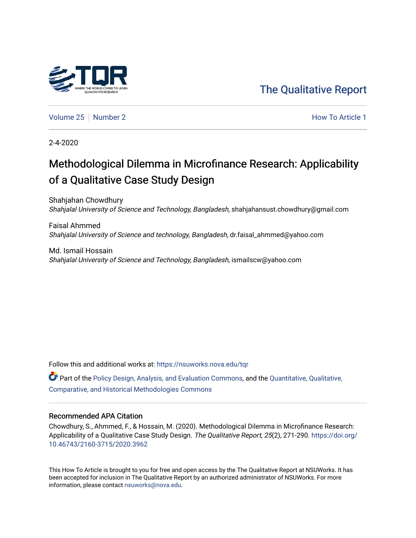

[The Qualitative Report](https://nsuworks.nova.edu/tqr) 

[Volume 25](https://nsuworks.nova.edu/tqr/vol25) [Number 2](https://nsuworks.nova.edu/tqr/vol25/iss2) **How To Article 1** Number 2 **How To Article 1** 

2-4-2020

# Methodological Dilemma in Microfinance Research: Applicability of a Qualitative Case Study Design

Shahjahan Chowdhury Shahjalal University of Science and Technology, Bangladesh, shahjahansust.chowdhury@gmail.com

Faisal Ahmmed Shahjalal University of Science and technology, Bangladesh, dr.faisal\_ahmmed@yahoo.com

Md. Ismail Hossain Shahjalal University of Science and Technology, Bangladesh, ismailscw@yahoo.com

Follow this and additional works at: [https://nsuworks.nova.edu/tqr](https://nsuworks.nova.edu/tqr?utm_source=nsuworks.nova.edu%2Ftqr%2Fvol25%2Fiss2%2F1&utm_medium=PDF&utm_campaign=PDFCoverPages) 

 $\bullet$  Part of the [Policy Design, Analysis, and Evaluation Commons](http://network.bepress.com/hgg/discipline/1032?utm_source=nsuworks.nova.edu%2Ftqr%2Fvol25%2Fiss2%2F1&utm_medium=PDF&utm_campaign=PDFCoverPages), and the [Quantitative, Qualitative,](http://network.bepress.com/hgg/discipline/423?utm_source=nsuworks.nova.edu%2Ftqr%2Fvol25%2Fiss2%2F1&utm_medium=PDF&utm_campaign=PDFCoverPages) [Comparative, and Historical Methodologies Commons](http://network.bepress.com/hgg/discipline/423?utm_source=nsuworks.nova.edu%2Ftqr%2Fvol25%2Fiss2%2F1&utm_medium=PDF&utm_campaign=PDFCoverPages) 

#### Recommended APA Citation

Chowdhury, S., Ahmmed, F., & Hossain, M. (2020). Methodological Dilemma in Microfinance Research: Applicability of a Qualitative Case Study Design. The Qualitative Report, 25(2), 271-290. [https://doi.org/](https://doi.org/10.46743/2160-3715/2020.3962) [10.46743/2160-3715/2020.3962](https://doi.org/10.46743/2160-3715/2020.3962)

This How To Article is brought to you for free and open access by the The Qualitative Report at NSUWorks. It has been accepted for inclusion in The Qualitative Report by an authorized administrator of NSUWorks. For more information, please contact [nsuworks@nova.edu.](mailto:nsuworks@nova.edu)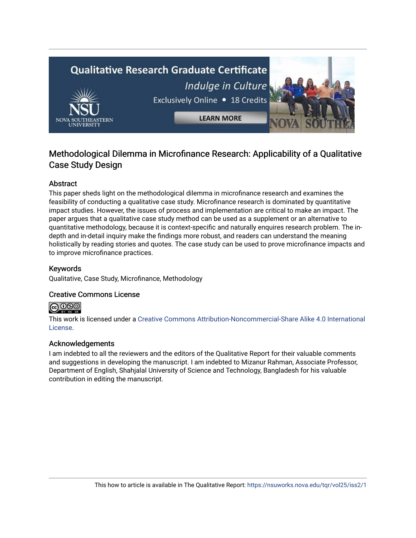# **Qualitative Research Graduate Certificate** Indulge in Culture Exclusively Online . 18 Credits **LEARN MORE**

# Methodological Dilemma in Microfinance Research: Applicability of a Qualitative Case Study Design

# Abstract

This paper sheds light on the methodological dilemma in microfinance research and examines the feasibility of conducting a qualitative case study. Microfinance research is dominated by quantitative impact studies. However, the issues of process and implementation are critical to make an impact. The paper argues that a qualitative case study method can be used as a supplement or an alternative to quantitative methodology, because it is context-specific and naturally enquires research problem. The indepth and in-detail inquiry make the findings more robust, and readers can understand the meaning holistically by reading stories and quotes. The case study can be used to prove microfinance impacts and to improve microfinance practices.

# Keywords

Qualitative, Case Study, Microfinance, Methodology

## Creative Commons License



This work is licensed under a [Creative Commons Attribution-Noncommercial-Share Alike 4.0 International](https://creativecommons.org/licenses/by-nc-sa/4.0/)  [License](https://creativecommons.org/licenses/by-nc-sa/4.0/).

## Acknowledgements

I am indebted to all the reviewers and the editors of the Qualitative Report for their valuable comments and suggestions in developing the manuscript. I am indebted to Mizanur Rahman, Associate Professor, Department of English, Shahjalal University of Science and Technology, Bangladesh for his valuable contribution in editing the manuscript.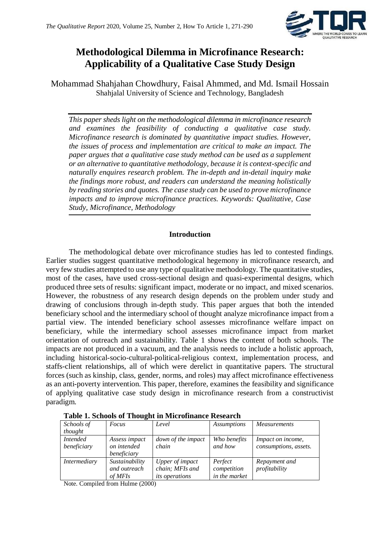

# **Methodological Dilemma in Microfinance Research: Applicability of a Qualitative Case Study Design**

Mohammad Shahjahan Chowdhury, Faisal Ahmmed, and Md. Ismail Hossain Shahjalal University of Science and Technology, Bangladesh

*This paper sheds light on the methodological dilemma in microfinance research and examines the feasibility of conducting a qualitative case study. Microfinance research is dominated by quantitative impact studies. However, the issues of process and implementation are critical to make an impact. The paper argues that a qualitative case study method can be used as a supplement or an alternative to quantitative methodology, because it is context-specific and naturally enquires research problem. The in-depth and in-detail inquiry make the findings more robust, and readers can understand the meaning holistically by reading stories and quotes. The case study can be used to prove microfinance impacts and to improve microfinance practices. Keywords: Qualitative, Case Study, Microfinance, Methodology*

## **Introduction**

The methodological debate over microfinance studies has led to contested findings. Earlier studies suggest quantitative methodological hegemony in microfinance research, and very few studies attempted to use any type of qualitative methodology. The quantitative studies, most of the cases, have used cross-sectional design and quasi-experimental designs, which produced three sets of results: significant impact, moderate or no impact, and mixed scenarios. However, the robustness of any research design depends on the problem under study and drawing of conclusions through in-depth study. This paper argues that both the intended beneficiary school and the intermediary school of thought analyze microfinance impact from a partial view. The intended beneficiary school assesses microfinance welfare impact on beneficiary, while the intermediary school assesses microfinance impact from market orientation of outreach and sustainability. Table 1 shows the content of both schools. The impacts are not produced in a vacuum, and the analysis needs to include a holistic approach, including historical-socio-cultural-political-religious context, implementation process, and staffs-client relationships, all of which were derelict in quantitative papers. The structural forces (such as kinship, class, gender, norms, and roles) may affect microfinance effectiveness as an anti-poverty intervention. This paper, therefore, examines the feasibility and significance of applying qualitative case study design in microfinance research from a constructivist paradigm.

| Schools of      | Focus          | Level                 | <i>Assumptions</i> | <b>Measurements</b>      |  |  |  |  |
|-----------------|----------------|-----------------------|--------------------|--------------------------|--|--|--|--|
| thought         |                |                       |                    |                          |  |  |  |  |
| <i>Intended</i> | Assess impact  | down of the impact    | Who benefits       | <i>Impact on income,</i> |  |  |  |  |
| beneficiary     | on intended    | chain                 | and how            | consumptions, assets.    |  |  |  |  |
|                 | beneficiary    |                       |                    |                          |  |  |  |  |
| Intermediary    | Sustainability | Upper of impact       | Perfect            | Repayment and            |  |  |  |  |
|                 | and outreach   | chain; MFIs and       | competition        | profitability            |  |  |  |  |
|                 | of MFIs        | <i>its operations</i> | in the market      |                          |  |  |  |  |

**Table 1. Schools of Thought in Microfinance Research** 

Note. Compiled from Hulme (2000)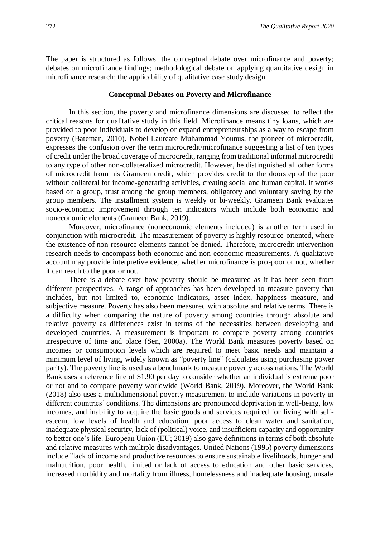The paper is structured as follows: the conceptual debate over microfinance and poverty; debates on microfinance findings; methodological debate on applying quantitative design in microfinance research; the applicability of qualitative case study design.

#### **Conceptual Debates on Poverty and Microfinance**

In this section, the poverty and microfinance dimensions are discussed to reflect the critical reasons for qualitative study in this field. Microfinance means tiny loans, which are provided to poor individuals to develop or expand entrepreneurships as a way to escape from poverty (Bateman, 2010). Nobel Laureate Muhammad Younus, the pioneer of microcredit, expresses the confusion over the term microcredit/microfinance suggesting a list of ten types of credit under the broad coverage of microcredit, ranging from traditional informal microcredit to any type of other non-collateralized microcredit. However, he distinguished all other forms of microcredit from his Grameen credit, which provides credit to the doorstep of the poor without collateral for income-generating activities, creating social and human capital. It works based on a group, trust among the group members, obligatory and voluntary saving by the group members. The installment system is weekly or bi-weekly. Grameen Bank evaluates socio-economic improvement through ten indicators which include both economic and noneconomic elements (Grameen Bank, 2019).

Moreover, microfinance (noneconomic elements included) is another term used in conjunction with microcredit. The measurement of poverty is highly resource-oriented, where the existence of non-resource elements cannot be denied. Therefore, microcredit intervention research needs to encompass both economic and non-economic measurements. A qualitative account may provide interpretive evidence, whether microfinance is pro-poor or not, whether it can reach to the poor or not.

There is a debate over how poverty should be measured as it has been seen from different perspectives. A range of approaches has been developed to measure poverty that includes, but not limited to, economic indicators, asset index, happiness measure, and subjective measure. Poverty has also been measured with absolute and relative terms. There is a difficulty when comparing the nature of poverty among countries through absolute and relative poverty as differences exist in terms of the necessities between developing and developed countries. A measurement is important to compare poverty among countries irrespective of time and place (Sen, 2000a). The World Bank measures poverty based on incomes or consumption levels which are required to meet basic needs and maintain a minimum level of living, widely known as "poverty line" (calculates using purchasing power parity). The poverty line is used as a benchmark to measure poverty across nations. The World Bank uses a reference line of \$1.90 per day to consider whether an individual is extreme poor or not and to compare poverty worldwide (World Bank, 2019). Moreover, the World Bank (2018) also uses a multidimensional poverty measurement to include variations in poverty in different countries' conditions. The dimensions are pronounced deprivation in well-being, low incomes, and inability to acquire the basic goods and services required for living with selfesteem, low levels of health and education, poor access to clean water and sanitation, inadequate physical security, lack of (political) voice, and insufficient capacity and opportunity to better one's life. European Union (EU; 2019) also gave definitions in terms of both absolute and relative measures with multiple disadvantages. United Nations (1995) poverty dimensions include "lack of income and productive resources to ensure sustainable livelihoods, hunger and malnutrition, poor health, limited or lack of access to education and other basic services, increased morbidity and mortality from illness, homelessness and inadequate housing, unsafe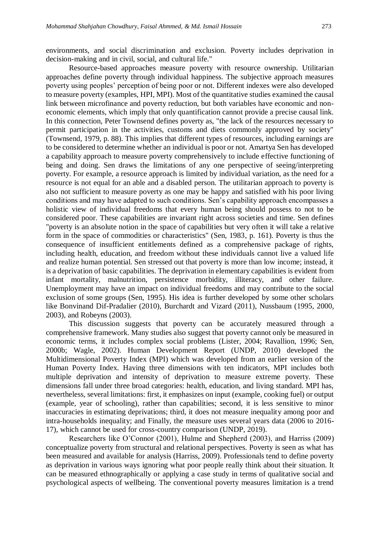environments, and social discrimination and exclusion. Poverty includes deprivation in decision-making and in civil, social, and cultural life."

Resource-based approaches measure poverty with resource ownership. Utilitarian approaches define poverty through individual happiness. The subjective approach measures poverty using peoples' perception of being poor or not. Different indexes were also developed to measure poverty (examples, HPI, MPI). Most of the quantitative studies examined the causal link between microfinance and poverty reduction, but both variables have economic and noneconomic elements, which imply that only quantification cannot provide a precise causal link. In this connection, Peter Townsend defines poverty as, "the lack of the resources necessary to permit participation in the activities, customs and diets commonly approved by society" (Townsend, 1979, p. 88). This implies that different types of resources, including earnings are to be considered to determine whether an individual is poor or not. Amartya Sen has developed a capability approach to measure poverty comprehensively to include effective functioning of being and doing. Sen draws the limitations of any one perspective of seeing/interpreting poverty. For example, a resource approach is limited by individual variation, as the need for a resource is not equal for an able and a disabled person. The utilitarian approach to poverty is also not sufficient to measure poverty as one may be happy and satisfied with his poor living conditions and may have adapted to such conditions. Sen's capability approach encompasses a holistic view of individual freedoms that every human being should possess to not to be considered poor. These capabilities are invariant right across societies and time. Sen defines "poverty is an absolute notion in the space of capabilities but very often it will take a relative form in the space of commodities or characteristics" (Sen, 1983, p. 161). Poverty is thus the consequence of insufficient entitlements defined as a comprehensive package of rights, including health, education, and freedom without these individuals cannot live a valued life and realize human potential. Sen stressed out that poverty is more than low income; instead, it is a deprivation of basic capabilities. The deprivation in elementary capabilities is evident from infant mortality, malnutrition, persistence morbidity, illiteracy, and other failure. Unemployment may have an impact on individual freedoms and may contribute to the social exclusion of some groups (Sen, 1995). His idea is further developed by some other scholars like Bonvinand Dif-Pradalier (2010), Burchardt and Vizard (2011), Nussbaum (1995, 2000, 2003), and Robeyns (2003).

This discussion suggests that poverty can be accurately measured through a comprehensive framework. Many studies also suggest that poverty cannot only be measured in economic terms, it includes complex social problems (Lister, 2004; Ravallion, 1996; Sen, 2000b; Wagle, 2002). Human Development Report (UNDP, 2010) developed the Multidimensional Poverty Index (MPI) which was developed from an earlier version of the Human Poverty Index. Having three dimensions with ten indicators, MPI includes both multiple deprivation and intensity of deprivation to measure extreme poverty. These dimensions fall under three broad categories: health, education, and living standard. MPI has, nevertheless, several limitations: first, it emphasizes on input (example, cooking fuel) or output (example, year of schooling), rather than capabilities; second, it is less sensitive to minor inaccuracies in estimating deprivations; third, it does not measure inequality among poor and intra-households inequality; and Finally, the measure uses several years data (2006 to 2016- 17), which cannot be used for cross-country comparison (UNDP, 2019).

Researchers like O'Connor (2001), Hulme and Shepherd (2003), and Harriss (2009) conceptualize poverty from structural and relational perspectives. Poverty is seen as what has been measured and available for analysis (Harriss, 2009). Professionals tend to define poverty as deprivation in various ways ignoring what poor people really think about their situation. It can be measured ethnographically or applying a case study in terms of qualitative social and psychological aspects of wellbeing. The conventional poverty measures limitation is a trend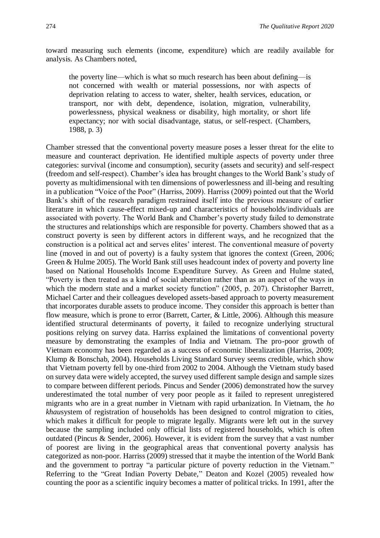toward measuring such elements (income, expenditure) which are readily available for analysis. As Chambers noted,

the poverty line—which is what so much research has been about defining—is not concerned with wealth or material possessions, nor with aspects of deprivation relating to access to water, shelter, health services, education, or transport, nor with debt, dependence, isolation, migration, vulnerability, powerlessness, physical weakness or disability, high mortality, or short life expectancy; nor with social disadvantage, status, or self-respect. (Chambers, 1988, p. 3)

Chamber stressed that the conventional poverty measure poses a lesser threat for the elite to measure and counteract deprivation. He identified multiple aspects of poverty under three categories: survival (income and consumption), security (assets and security) and self-respect (freedom and self-respect). Chamber's idea has brought changes to the World Bank's study of poverty as multidimensional with ten dimensions of powerlessness and ill-being and resulting in a publication "Voice of the Poor" (Harriss, 2009). Harriss (2009) pointed out that the World Bank's shift of the research paradigm restrained itself into the previous measure of earlier literature in which cause-effect mixed-up and characteristics of households/individuals are associated with poverty. The World Bank and Chamber's poverty study failed to demonstrate the structures and relationships which are responsible for poverty. Chambers showed that as a construct poverty is seen by different actors in different ways, and he recognized that the construction is a political act and serves elites' interest. The conventional measure of poverty line (moved in and out of poverty) is a faulty system that ignores the context (Green, 2006; Green & Hulme 2005). The World Bank still uses headcount index of poverty and poverty line based on National Households Income Expenditure Survey. As Green and Hulme stated, "Poverty is then treated as a kind of social aberration rather than as an aspect of the ways in which the modern state and a market society function" (2005, p. 207). Christopher Barrett, Michael Carter and their colleagues developed assets-based approach to poverty measurement that incorporates durable assets to produce income. They consider this approach is better than flow measure, which is prone to error (Barrett, Carter, & Little, 2006). Although this measure identified structural determinants of poverty, it failed to recognize underlying structural positions relying on survey data. Harriss explained the limitations of conventional poverty measure by demonstrating the examples of India and Vietnam. The pro-poor growth of Vietnam economy has been regarded as a success of economic liberalization (Harriss, 2009; Klump & Bonschab, 2004). Households Living Standard Survey seems credible, which show that Vietnam poverty fell by one-third from 2002 to 2004. Although the Vietnam study based on survey data were widely accepted, the survey used different sample design and sample sizes to compare between different periods. Pincus and Sender (2006) demonstrated how the survey underestimated the total number of very poor people as it failed to represent unregistered migrants who are in a great number in Vietnam with rapid urbanization. In Vietnam, the *ho khau*system of registration of households has been designed to control migration to cities, which makes it difficult for people to migrate legally. Migrants were left out in the survey because the sampling included only official lists of registered households, which is often outdated (Pincus & Sender, 2006). However, it is evident from the survey that a vast number of poorest are living in the geographical areas that conventional poverty analysis has categorized as non-poor. Harriss (2009) stressed that it maybe the intention of the World Bank and the government to portray "a particular picture of poverty reduction in the Vietnam." Referring to the "Great Indian Poverty Debate," Deaton and Kozel (2005) revealed how counting the poor as a scientific inquiry becomes a matter of political tricks. In 1991, after the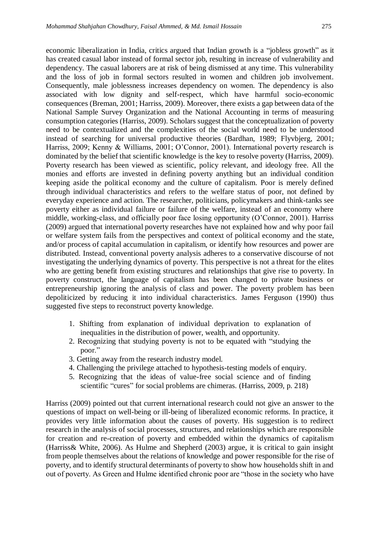economic liberalization in India, critics argued that Indian growth is a "jobless growth" as it has created casual labor instead of formal sector job, resulting in increase of vulnerability and dependency. The casual laborers are at risk of being dismissed at any time. This vulnerability and the loss of job in formal sectors resulted in women and children job involvement. Consequently, male joblessness increases dependency on women. The dependency is also associated with low dignity and self-respect, which have harmful socio-economic consequences (Breman, 2001; Harriss, 2009). Moreover, there exists a gap between data of the National Sample Survey Organization and the National Accounting in terms of measuring consumption categories (Harriss, 2009). Scholars suggest that the conceptualization of poverty need to be contextualized and the complexities of the social world need to be understood instead of searching for universal productive theories (Bardhan, 1989; Flyvbjerg, 2001; Harriss, 2009; Kenny & Williams, 2001; O'Connor, 2001). International poverty research is dominated by the belief that scientific knowledge is the key to resolve poverty (Harriss, 2009). Poverty research has been viewed as scientific, policy relevant, and ideology free. All the monies and efforts are invested in defining poverty anything but an individual condition keeping aside the political economy and the culture of capitalism. Poor is merely defined through individual characteristics and refers to the welfare status of poor, not defined by everyday experience and action. The researcher, politicians, policymakers and think-tanks see poverty either as individual failure or failure of the welfare, instead of an economy where middle, working-class, and officially poor face losing opportunity (O'Connor, 2001). Harriss (2009) argued that international poverty researches have not explained how and why poor fail or welfare system fails from the perspectives and context of political economy and the state, and/or process of capital accumulation in capitalism, or identify how resources and power are distributed. Instead, conventional poverty analysis adheres to a conservative discourse of not investigating the underlying dynamics of poverty. This perspective is not a threat for the elites who are getting benefit from existing structures and relationships that give rise to poverty. In poverty construct, the language of capitalism has been changed to private business or entrepreneurship ignoring the analysis of class and power. The poverty problem has been depoliticized by reducing it into individual characteristics. James Ferguson (1990) thus suggested five steps to reconstruct poverty knowledge.

- 1. Shifting from explanation of individual deprivation to explanation of inequalities in the distribution of power, wealth, and opportunity.
- 2. Recognizing that studying poverty is not to be equated with "studying the poor."
- 3. Getting away from the research industry model.
- 4. Challenging the privilege attached to hypothesis-testing models of enquiry.
- 5. Recognizing that the ideas of value-free social science and of finding scientific "cures" for social problems are chimeras. (Harriss, 2009, p. 218)

Harriss (2009) pointed out that current international research could not give an answer to the questions of impact on well-being or ill-being of liberalized economic reforms. In practice, it provides very little information about the causes of poverty. His suggestion is to redirect research in the analysis of social processes, structures, and relationships which are responsible for creation and re-creation of poverty and embedded within the dynamics of capitalism (Harriss& White, 2006). As Hulme and Shepherd (2003) argue, it is critical to gain insight from people themselves about the relations of knowledge and power responsible for the rise of poverty, and to identify structural determinants of poverty to show how households shift in and out of poverty. As Green and Hulme identified chronic poor are "those in the society who have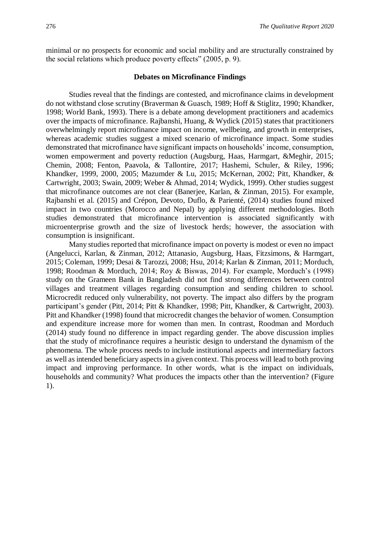minimal or no prospects for economic and social mobility and are structurally constrained by the social relations which produce poverty effects" (2005, p. 9).

#### **Debates on Microfinance Findings**

Studies reveal that the findings are contested, and microfinance claims in development do not withstand close scrutiny (Braverman & Guasch, 1989; Hoff & Stiglitz, 1990; Khandker, 1998; World Bank, 1993). There is a debate among development practitioners and academics over the impacts of microfinance. Rajbanshi, Huang, & Wydick (2015) states that practitioners overwhelmingly report microfinance impact on income, wellbeing, and growth in enterprises, whereas academic studies suggest a mixed scenario of microfinance impact. Some studies demonstrated that microfinance have significant impacts on households' income, consumption, women empowerment and poverty reduction (Augsburg, Haas, Harmgart, &Meghir, 2015; Chemin, 2008; Fenton, Paavola, & Tallontire, 2017; Hashemi, Schuler, & Riley, 1996; Khandker, 1999, 2000, 2005; Mazumder & Lu, 2015; McKernan, 2002; Pitt, Khandker, & Cartwright, 2003; Swain, 2009; Weber & Ahmad, 2014; Wydick, 1999). Other studies suggest that microfinance outcomes are not clear (Banerjee, Karlan, & Zinman, 2015). For example, Rajbanshi et al. (2015) and Crépon, Devoto, Duflo, & Parienté, (2014) studies found mixed impact in two countries (Morocco and Nepal) by applying different methodologies. Both studies demonstrated that microfinance intervention is associated significantly with microenterprise growth and the size of livestock herds; however, the association with consumption is insignificant.

Many studies reported that microfinance impact on poverty is modest or even no impact (Angelucci, Karlan, & Zinman, 2012; Attanasio, Augsburg, Haas, Fitzsimons, & Harmgart, 2015; Coleman, 1999; Desai & Tarozzi, 2008; Hsu, 2014; Karlan & Zinman, 2011; Morduch, 1998; Roodman & Morduch, 2014; Roy & Biswas, 2014). For example, Morduch's (1998) study on the Grameen Bank in Bangladesh did not find strong differences between control villages and treatment villages regarding consumption and sending children to school. Microcredit reduced only vulnerability, not poverty. The impact also differs by the program participant's gender (Pitt, 2014; Pitt & Khandker, 1998; Pitt, Khandker, & Cartwright, 2003). Pitt and Khandker (1998) found that microcredit changes the behavior of women. Consumption and expenditure increase more for women than men. In contrast, Roodman and Morduch (2014) study found no difference in impact regarding gender. The above discussion implies that the study of microfinance requires a heuristic design to understand the dynamism of the phenomena. The whole process needs to include institutional aspects and intermediary factors as well as intended beneficiary aspects in a given context. This process will lead to both proving impact and improving performance. In other words, what is the impact on individuals, households and community? What produces the impacts other than the intervention? (Figure 1).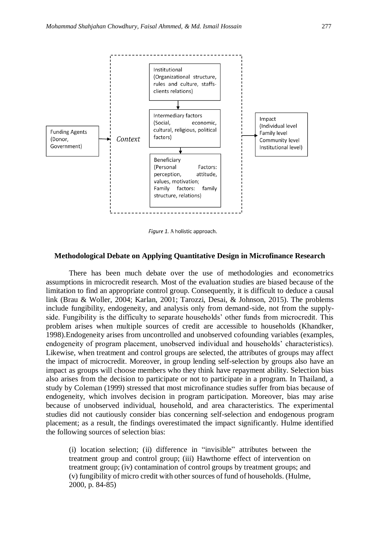

Figure 1. A holistic approach.

#### **Methodological Debate on Applying Quantitative Design in Microfinance Research**

There has been much debate over the use of methodologies and econometrics assumptions in microcredit research. Most of the evaluation studies are biased because of the limitation to find an appropriate control group. Consequently, it is difficult to deduce a causal link (Brau & Woller, 2004; Karlan, 2001; Tarozzi, Desai, & Johnson, 2015). The problems include fungibility, endogeneity, and analysis only from demand-side, not from the supplyside. Fungibility is the difficulty to separate households' other funds from microcredit. This problem arises when multiple sources of credit are accessible to households (Khandker, 1998).Endogeneity arises from uncontrolled and unobserved cofounding variables (examples, endogeneity of program placement, unobserved individual and households' characteristics). Likewise, when treatment and control groups are selected, the attributes of groups may affect the impact of microcredit. Moreover, in group lending self-selection by groups also have an impact as groups will choose members who they think have repayment ability. Selection bias also arises from the decision to participate or not to participate in a program. In Thailand, a study by Coleman (1999) stressed that most microfinance studies suffer from bias because of endogeneity, which involves decision in program participation. Moreover, bias may arise because of unobserved individual, household, and area characteristics. The experimental studies did not cautiously consider bias concerning self-selection and endogenous program placement; as a result, the findings overestimated the impact significantly. Hulme identified the following sources of selection bias:

(i) location selection; (ii) difference in "invisible" attributes between the treatment group and control group; (iii) Hawthorne effect of intervention on treatment group; (iv) contamination of control groups by treatment groups; and (v) fungibility of micro credit with other sources of fund of households. (Hulme, 2000, p. 84-85)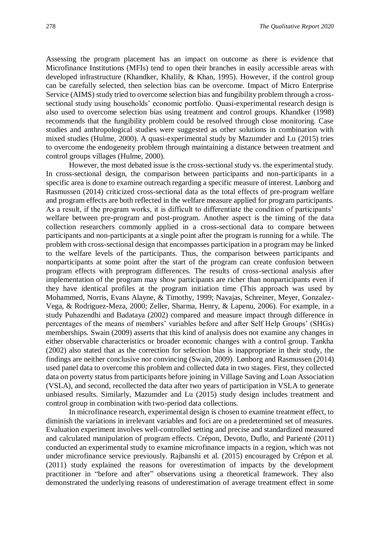Assessing the program placement has an impact on outcome as there is evidence that Microfinance Institutions (MFIs) tend to open their branches in easily accessible areas with developed infrastructure (Khandker, Khalily, & Khan, 1995). However, if the control group can be carefully selected, then selection bias can be overcome. Impact of Micro Enterprise Service (AIMS) study tried to overcome selection bias and fungibility problem through a crosssectional study using households' economic portfolio. Quasi-experimental research design is also used to overcome selection bias using treatment and control groups. Khandker (1998) recommends that the fungibility problem could be resolved through close monitoring. Case studies and anthropological studies were suggested as other solutions in combination with mixed studies (Hulme, 2000). A quasi-experimental study by Mazumder and Lu (2015) tries to overcome the endogeneity problem through maintaining a distance between treatment and control groups villages (Hulme, 2000).

However, the most debated issue is the cross-sectional study vs. the experimental study. In cross-sectional design, the comparison between participants and non-participants in a specific area is done to examine outreach regarding a specific measure of interest. Lønborg and Rasmussen (2014) criticized cross-sectional data as the total effects of pre-program welfare and program effects are both reflected in the welfare measure applied for program participants. As a result, if the program works, it is difficult to differentiate the condition of participants' welfare between pre-program and post-program. Another aspect is the timing of the data collection researchers commonly applied in a cross-sectional data to compare between participants and non-participants at a single point after the program is running for a while. The problem with cross-sectional design that encompasses participation in a program may be linked to the welfare levels of the participants. Thus, the comparison between participants and nonparticipants at some point after the start of the program can create confusion between program effects with preprogram differences. The results of cross-sectional analysis after implementation of the program may show participants are richer than nonparticipants even if they have identical profiles at the program initiation time (This approach was used by Mohammed, Norris, Evans Alayne, & Timothy, 1999; Navajas, Schreiner, Meyer, Gonzalez-Vega, & Rodriguez-Meza, 2000; Zeller, Sharma, Henry, & Lapenu, 2006). For example, in a study Puhazendhi and Badataya (2002) compared and measure impact through difference in percentages of the means of members' variables before and after Self Help Groups' (SHGs) memberships. Swain (2009) asserts that this kind of analysis does not examine any changes in either observable characteristics or broader economic changes with a control group. Tankha (2002) also stated that as the correction for selection bias is inappropriate in their study, the findings are neither conclusive nor convincing (Swain, 2009). Lønborg and Rasmussen (2014) used panel data to overcome this problem and collected data in two stages. First, they collected data on poverty status from participants before joining in Village Saving and Loan Association (VSLA), and second, recollected the data after two years of participation in VSLA to generate unbiased results. Similarly, Mazumder and Lu (2015) study design includes treatment and control group in combination with two-period data collections.

In microfinance research, experimental design is chosen to examine treatment effect, to diminish the variations in irrelevant variables and foci are on a predetermined set of measures. Evaluation experiment involves well-controlled setting and precise and standardized measured and calculated manipulation of program effects. Crépon, Devoto, Duflo, and Parienté (2011) conducted an experimental study to examine microfinance impacts in a region, which was not under microfinance service previously. Rajbanshi et al. (2015) encouraged by Crépon et al. (2011) study explained the reasons for overestimation of impacts by the development practitioner in "before and after" observations using a theoretical framework. They also demonstrated the underlying reasons of underestimation of average treatment effect in some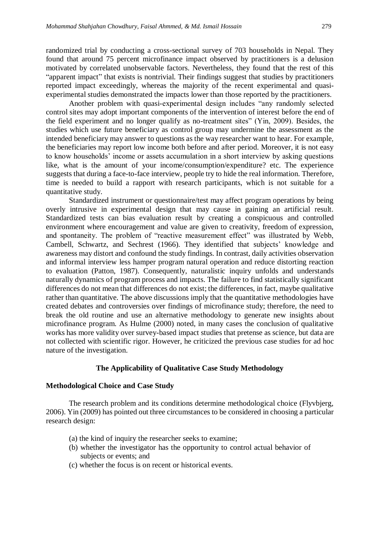randomized trial by conducting a cross-sectional survey of 703 households in Nepal. They found that around 75 percent microfinance impact observed by practitioners is a delusion motivated by correlated unobservable factors. Nevertheless, they found that the rest of this "apparent impact" that exists is nontrivial. Their findings suggest that studies by practitioners reported impact exceedingly, whereas the majority of the recent experimental and quasiexperimental studies demonstrated the impacts lower than those reported by the practitioners.

Another problem with quasi-experimental design includes "any randomly selected control sites may adopt important components of the intervention of interest before the end of the field experiment and no longer qualify as no-treatment sites" (Yin, 2009). Besides, the studies which use future beneficiary as control group may undermine the assessment as the intended beneficiary may answer to questions as the way researcher want to hear. For example, the beneficiaries may report low income both before and after period. Moreover, it is not easy to know households' income or assets accumulation in a short interview by asking questions like, what is the amount of your income/consumption/expenditure? etc. The experience suggests that during a face-to-face interview, people try to hide the real information. Therefore, time is needed to build a rapport with research participants, which is not suitable for a quantitative study.

Standardized instrument or questionnaire/test may affect program operations by being overly intrusive in experimental design that may cause in gaining an artificial result. Standardized tests can bias evaluation result by creating a conspicuous and controlled environment where encouragement and value are given to creativity, freedom of expression, and spontaneity. The problem of "reactive measurement effect" was illustrated by Webb, Cambell, Schwartz, and Sechrest (1966). They identified that subjects' knowledge and awareness may distort and confound the study findings. In contrast, daily activities observation and informal interview less hamper program natural operation and reduce distorting reaction to evaluation (Patton, 1987). Consequently, naturalistic inquiry unfolds and understands naturally dynamics of program process and impacts. The failure to find statistically significant differences do not mean that differences do not exist; the differences, in fact, maybe qualitative rather than quantitative. The above discussions imply that the quantitative methodologies have created debates and controversies over findings of microfinance study; therefore, the need to break the old routine and use an alternative methodology to generate new insights about microfinance program. As Hulme (2000) noted, in many cases the conclusion of qualitative works has more validity over survey-based impact studies that pretense as science, but data are not collected with scientific rigor. However, he criticized the previous case studies for ad hoc nature of the investigation.

## **The Applicability of Qualitative Case Study Methodology**

#### **Methodological Choice and Case Study**

The research problem and its conditions determine methodological choice (Flyvbjerg, 2006). Yin (2009) has pointed out three circumstances to be considered in choosing a particular research design:

- (a) the kind of inquiry the researcher seeks to examine;
- (b) whether the investigator has the opportunity to control actual behavior of subjects or events; and
- (c) whether the focus is on recent or historical events.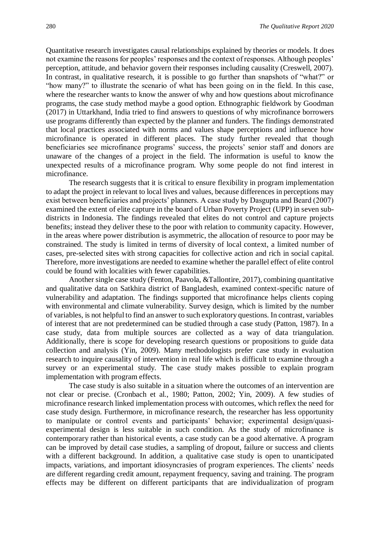Quantitative research investigates causal relationships explained by theories or models. It does not examine the reasons for peoples' responses and the context of responses. Although peoples' perception, attitude, and behavior govern their responses including causality (Creswell, 2007). In contrast, in qualitative research, it is possible to go further than snapshots of "what?" or "how many?" to illustrate the scenario of what has been going on in the field. In this case, where the researcher wants to know the answer of why and how questions about microfinance programs, the case study method maybe a good option. Ethnographic fieldwork by Goodman (2017) in Uttarkhand, India tried to find answers to questions of why microfinance borrowers use programs differently than expected by the planner and funders. The findings demonstrated that local practices associated with norms and values shape perceptions and influence how microfinance is operated in different places. The study further revealed that though beneficiaries see microfinance programs' success, the projects' senior staff and donors are unaware of the changes of a project in the field. The information is useful to know the unexpected results of a microfinance program. Why some people do not find interest in microfinance.

The research suggests that it is critical to ensure flexibility in program implementation to adapt the project in relevant to local lives and values, because differences in perceptions may exist between beneficiaries and projects' planners. A case study by Dasgupta and Beard (2007) examined the extent of elite capture in the board of Urban Poverty Project (UPP) in seven subdistricts in Indonesia. The findings revealed that elites do not control and capture projects benefits; instead they deliver these to the poor with relation to community capacity. However, in the areas where power distribution is asymmetric, the allocation of resource to poor may be constrained. The study is limited in terms of diversity of local context, a limited number of cases, pre-selected sites with strong capacities for collective action and rich in social capital. Therefore, more investigations are needed to examine whether the parallel effect of elite control could be found with localities with fewer capabilities.

Another single case study (Fenton, Paavola, &Tallontire, 2017), combining quantitative and qualitative data on Satkhira district of Bangladesh, examined context-specific nature of vulnerability and adaptation. The findings supported that microfinance helps clients coping with environmental and climate vulnerability. Survey design, which is limited by the number of variables, is not helpful to find an answer to such exploratory questions. In contrast, variables of interest that are not predetermined can be studied through a case study (Patton, 1987). In a case study, data from multiple sources are collected as a way of data triangulation. Additionally, there is scope for developing research questions or propositions to guide data collection and analysis (Yin, 2009). Many methodologists prefer case study in evaluation research to inquire causality of intervention in real life which is difficult to examine through a survey or an experimental study. The case study makes possible to explain program implementation with program effects.

The case study is also suitable in a situation where the outcomes of an intervention are not clear or precise. (Cronbach et al., 1980; Patton, 2002; Yin, 2009). A few studies of microfinance research linked implementation process with outcomes, which reflex the need for case study design. Furthermore, in microfinance research, the researcher has less opportunity to manipulate or control events and participants' behavior; experimental design/quasiexperimental design is less suitable in such condition. As the study of microfinance is contemporary rather than historical events, a case study can be a good alternative. A program can be improved by detail case studies, a sampling of dropout, failure or success and clients with a different background. In addition, a qualitative case study is open to unanticipated impacts, variations, and important idiosyncrasies of program experiences. The clients' needs are different regarding credit amount, repayment frequency, saving and training. The program effects may be different on different participants that are individualization of program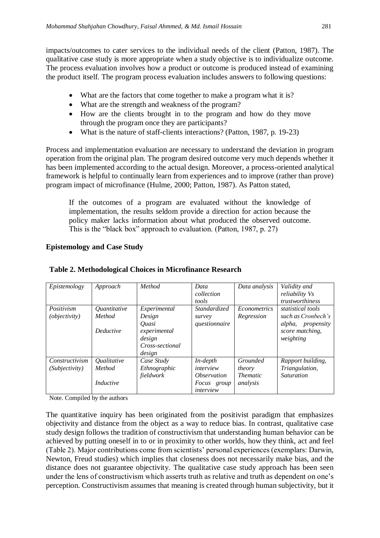impacts/outcomes to cater services to the individual needs of the client (Patton, 1987). The qualitative case study is more appropriate when a study objective is to individualize outcome. The process evaluation involves how a product or outcome is produced instead of examining the product itself. The program process evaluation includes answers to following questions:

- What are the factors that come together to make a program what it is?
- What are the strength and weakness of the program?
- How are the clients brought in to the program and how do they move through the program once they are participants?
- What is the nature of staff-clients interactions? (Patton, 1987, p. 19-23)

Process and implementation evaluation are necessary to understand the deviation in program operation from the original plan. The program desired outcome very much depends whether it has been implemented according to the actual design. Moreover, a process-oriented analytical framework is helpful to continually learn from experiences and to improve (rather than prove) program impact of microfinance (Hulme, 2000; Patton, 1987). As Patton stated,

If the outcomes of a program are evaluated without the knowledge of implementation, the results seldom provide a direction for action because the policy maker lacks information about what produced the observed outcome. This is the "black box" approach to evaluation. (Patton, 1987, p. 27)

# **Epistemology and Case Study**

| Epistemology   | Approach         | Method          | Data                      | Data analysis       | Validity and       |
|----------------|------------------|-----------------|---------------------------|---------------------|--------------------|
|                |                  |                 | collection                |                     | reliability Vs     |
|                |                  |                 | tools                     |                     | trustworthiness    |
| Positivism     | Quantitative     | Experimental    | Standardized              | <b>Econometrics</b> | statistical tools  |
| (objectivity)  | Method           | Design          | survey                    | Regression          | such as Cronbech's |
|                |                  | <i>Ouasi</i>    | questionnaire             |                     | alpha, propensity  |
|                | <b>Deductive</b> | experimental    |                           |                     | score matching,    |
|                |                  | design          |                           |                     | weighting          |
|                |                  | Cross-sectional |                           |                     |                    |
|                |                  | design          |                           |                     |                    |
| Constructivism | Qualitative      | Case Study      | $In-depth$                | Grounded            | Rapport building,  |
| (Subjectivity) | Method           | Ethnographic    | interview                 | theory              | Triangulation,     |
|                |                  | fieldwork       | <i><b>Observation</b></i> | <i>Thematic</i>     | <b>Saturation</b>  |
|                | <i>Inductive</i> |                 | Focus group               | analysis            |                    |
|                |                  |                 | interview                 |                     |                    |

# **Table 2. Methodological Choices in Microfinance Research**

Note. Compiled by the authors

The quantitative inquiry has been originated from the positivist paradigm that emphasizes objectivity and distance from the object as a way to reduce bias. In contrast, qualitative case study design follows the tradition of constructivism that understanding human behavior can be achieved by putting oneself in to or in proximity to other worlds, how they think, act and feel (Table 2). Major contributions come from scientists' personal experiences (exemplars: Darwin, Newton, Freud studies) which implies that closeness does not necessarily make bias, and the distance does not guarantee objectivity. The qualitative case study approach has been seen under the lens of constructivism which asserts truth as relative and truth as dependent on one's perception. Constructivism assumes that meaning is created through human subjectivity, but it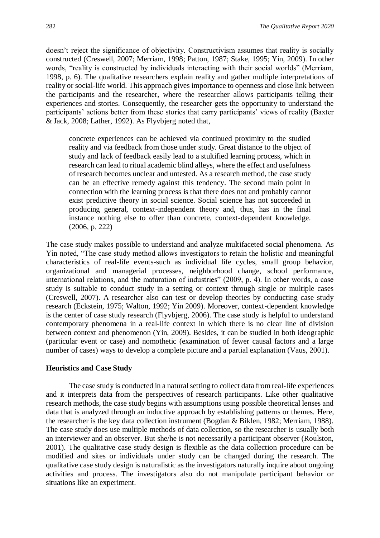doesn't reject the significance of objectivity. Constructivism assumes that reality is socially constructed (Creswell, 2007; Merriam, 1998; Patton, 1987; Stake, 1995; Yin, 2009). In other words, "reality is constructed by individuals interacting with their social worlds" (Merriam, 1998, p. 6). The qualitative researchers explain reality and gather multiple interpretations of reality or social-life world. This approach gives importance to openness and close link between the participants and the researcher, where the researcher allows participants telling their experiences and stories. Consequently, the researcher gets the opportunity to understand the participants' actions better from these stories that carry participants' views of reality (Baxter & Jack, 2008; Lather, 1992). As Flyvbjerg noted that,

concrete experiences can be achieved via continued proximity to the studied reality and via feedback from those under study. Great distance to the object of study and lack of feedback easily lead to a stultified learning process, which in research can lead to ritual academic blind alleys, where the effect and usefulness of research becomes unclear and untested. As a research method, the case study can be an effective remedy against this tendency. The second main point in connection with the learning process is that there does not and probably cannot exist predictive theory in social science. Social science has not succeeded in producing general, context-independent theory and, thus, has in the final instance nothing else to offer than concrete, context-dependent knowledge. (2006, p. 222)

The case study makes possible to understand and analyze multifaceted social phenomena. As Yin noted, "The case study method allows investigators to retain the holistic and meaningful characteristics of real-life events-such as individual life cycles, small group behavior, organizational and managerial processes, neighborhood change, school performance, international relations, and the maturation of industries" (2009, p. 4). In other words, a case study is suitable to conduct study in a setting or context through single or multiple cases (Creswell, 2007). A researcher also can test or develop theories by conducting case study research (Eckstein, 1975; Walton, 1992; Yin 2009). Moreover, context-dependent knowledge is the center of case study research (Flyvbjerg, 2006). The case study is helpful to understand contemporary phenomena in a real-life context in which there is no clear line of division between context and phenomenon (Yin, 2009). Besides, it can be studied in both ideographic (particular event or case) and nomothetic (examination of fewer causal factors and a large number of cases) ways to develop a complete picture and a partial explanation (Vaus, 2001).

#### **Heuristics and Case Study**

The case study is conducted in a natural setting to collect data from real-life experiences and it interprets data from the perspectives of research participants. Like other qualitative research methods, the case study begins with assumptions using possible theoretical lenses and data that is analyzed through an inductive approach by establishing patterns or themes. Here, the researcher is the key data collection instrument (Bogdan & Biklen, 1982; Merriam, 1988). The case study does use multiple methods of data collection, so the researcher is usually both an interviewer and an observer. But she/he is not necessarily a participant observer (Roulston, 2001). The qualitative case study design is flexible as the data collection procedure can be modified and sites or individuals under study can be changed during the research. The qualitative case study design is naturalistic as the investigators naturally inquire about ongoing activities and process. The investigators also do not manipulate participant behavior or situations like an experiment.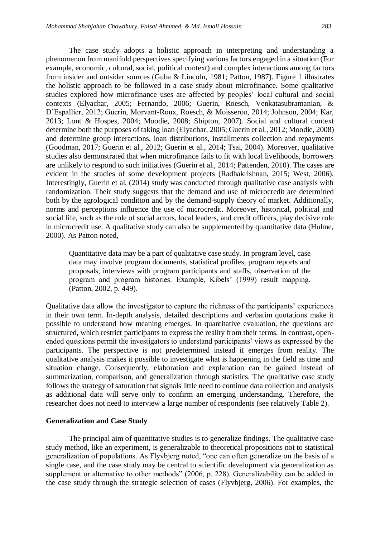The case study adopts a holistic approach in interpreting and understanding a phenomenon from manifold perspectives specifying various factors engaged in a situation (For example, economic, cultural, social, political context) and complex interactions among factors from insider and outsider sources (Guba & Lincoln, 1981; Patton, 1987). Figure 1 illustrates the holistic approach to be followed in a case study about microfinance. Some qualitative studies explored how microfinance uses are affected by peoples' local cultural and social contexts (Elyachar, 2005; Fernando, 2006; Guerin, Roesch, Venkatasubramanian, & D'Espallier, 2012; Guerin, Morvant-Roux, Roesch, & Moisseron, 2014; Johnson, 2004; Kar, 2013; Lont & Hospes, 2004; Moodie, 2008; Shipton, 2007). Social and cultural context determine both the purposes of taking loan (Elyachar, 2005; Guerin et al*.,* 2012; Moodie, 2008) and determine group interactions, loan distributions, installments collection and repayments (Goodman, 2017; Guerin et al., 2012; Guerin et al., 2014; Tsai, 2004). Moreover, qualitative studies also demonstrated that when microfinance fails to fit with local livelihoods, borrowers are unlikely to respond to such initiatives (Guerin et al., 2014; Pattenden, 2010). The cases are evident in the studies of some development projects (Radhakrishnan, 2015; West, 2006). Interestingly, Guerin et al. (2014) study was conducted through qualitative case analysis with randomization. Their study suggests that the demand and use of microcredit are determined both by the agrological condition and by the demand-supply theory of market. Additionally, norms and perceptions influence the use of microcredit. Moreover, historical, political and social life, such as the role of social actors, local leaders, and credit officers, play decisive role in microcredit use. A qualitative study can also be supplemented by quantitative data (Hulme, 2000). As Patton noted,

Quantitative data may be a part of qualitative case study. In program level, case data may involve program documents, statistical profiles, program reports and proposals, interviews with program participants and staffs, observation of the program and program histories. Example, Kibels' (1999) result mapping. (Patton, 2002, p. 449).

Qualitative data allow the investigator to capture the richness of the participants' experiences in their own term. In-depth analysis, detailed descriptions and verbatim quotations make it possible to understand how meaning emerges. In quantitative evaluation, the questions are structured, which restrict participants to express the reality from their terms. In contrast, openended questions permit the investigators to understand participants' views as expressed by the participants. The perspective is not predetermined instead it emerges from reality. The qualitative analysis makes it possible to investigate what is happening in the field as time and situation change. Consequently, elaboration and explanation can be gained instead of summarization, comparison, and generalization through statistics. The qualitative case study follows the strategy of saturation that signals little need to continue data collection and analysis as additional data will serve only to confirm an emerging understanding. Therefore, the researcher does not need to interview a large number of respondents (see relatively Table 2).

#### **Generalization and Case Study**

The principal aim of quantitative studies is to generalize findings. The qualitative case study method, like an experiment, is generalizable to theoretical propositions not to statistical generalization of populations. As Flyvbjerg noted, "one can often generalize on the basis of a single case, and the case study may be central to scientific development via generalization as supplement or alternative to other methods" (2006, p. 228). Generalizability can be added in the case study through the strategic selection of cases (Flyvbjerg, 2006). For examples, the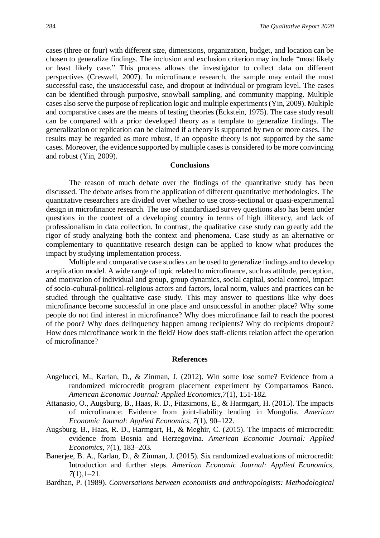cases (three or four) with different size, dimensions, organization, budget, and location can be chosen to generalize findings. The inclusion and exclusion criterion may include "most likely or least likely case." This process allows the investigator to collect data on different perspectives (Creswell, 2007). In microfinance research, the sample may entail the most successful case, the unsuccessful case, and dropout at individual or program level. The cases can be identified through purposive, snowball sampling, and community mapping. Multiple cases also serve the purpose of replication logic and multiple experiments (Yin, 2009). Multiple and comparative cases are the means of testing theories (Eckstein, 1975). The case study result can be compared with a prior developed theory as a template to generalize findings. The generalization or replication can be claimed if a theory is supported by two or more cases. The results may be regarded as more robust, if an opposite theory is not supported by the same cases. Moreover, the evidence supported by multiple cases is considered to be more convincing and robust (Yin, 2009).

#### **Conclusions**

The reason of much debate over the findings of the quantitative study has been discussed. The debate arises from the application of different quantitative methodologies. The quantitative researchers are divided over whether to use cross-sectional or quasi-experimental design in microfinance research. The use of standardized survey questions also has been under questions in the context of a developing country in terms of high illiteracy, and lack of professionalism in data collection. In contrast, the qualitative case study can greatly add the rigor of study analyzing both the context and phenomena. Case study as an alternative or complementary to quantitative research design can be applied to know what produces the impact by studying implementation process.

Multiple and comparative case studies can be used to generalize findings and to develop a replication model. A wide range of topic related to microfinance, such as attitude, perception, and motivation of individual and group, group dynamics, social capital, social control, impact of socio-cultural-political-religious actors and factors, local norm, values and practices can be studied through the qualitative case study. This may answer to questions like why does microfinance become successful in one place and unsuccessful in another place? Why some people do not find interest in microfinance? Why does microfinance fail to reach the poorest of the poor? Why does delinquency happen among recipients? Why do recipients dropout? How does microfinance work in the field? How does staff-clients relation affect the operation of microfinance?

#### **References**

- Angelucci, M., Karlan, D., & Zinman, J. (2012). Win some lose some? Evidence from a randomized microcredit program placement experiment by Compartamos Banco. *American Economic Journal: Applied Economics,7*(1), 151-182.
- Attanasio, O., Augsburg, B., Haas, R. D., Fitzsimons, E., & Harmgart, H. (2015). The impacts of microfinance: Evidence from joint-liability lending in Mongolia. *American Economic Journal: Applied Economics, 7*(1), 90–122.
- Augsburg, B., Haas, R. D., Harmgart, H., & Meghir, C. (2015). The impacts of microcredit: evidence from Bosnia and Herzegovina. *American Economic Journal: Applied Economics, 7*(1), 183–203.
- Banerjee, B. A., Karlan, D., & Zinman, J. (2015). Six randomized evaluations of microcredit: Introduction and further steps. *American Economic Journal: Applied Economics, 7*(1),1–21.
- Bardhan, P. (1989). *Conversations between economists and anthropologists: Methodological*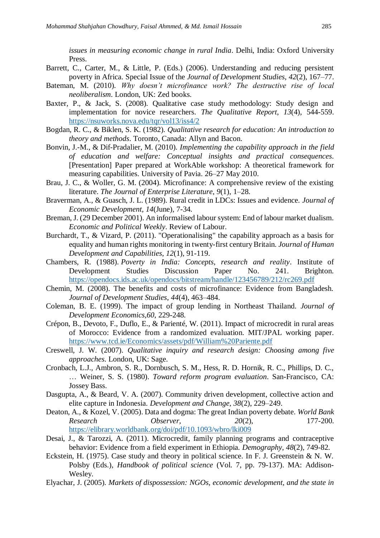*issues in measuring economic change in rural India*. Delhi, India: Oxford University Press.

- Barrett, C., Carter, M., & Little, P. (Eds.) (2006). Understanding and reducing persistent poverty in Africa. Special Issue of the *Journal of Development Studies*, *42*(2), 167–77.
- Bateman, M. (2010). *Why doesn't microfinance work? The destructive rise of local neoliberalism*. London, UK: Zed books.
- Baxter, P., & Jack, S. (2008). Qualitative case study methodology: Study design and implementation for novice researchers. *The Qualitative Report*, *13*(4), 544-559. <https://nsuworks.nova.edu/tqr/vol13/iss4/2>
- Bogdan, R. C., & Biklen, S. K. (1982). *Qualitative research for education: An introduction to theory and methods*. Toronto, Canada: Allyn and Bacon.
- Bonvin, J.-M., & Dif-Pradalier, M. (2010). *Implementing the capability approach in the field of education and welfare: Conceptual insights and practical consequences*. [Presentation] Paper prepared at WorkAble workshop: A theoretical framework for measuring capabilities. University of Pavia. 26–27 May 2010.
- Brau, J. C., & Woller, G. M. (2004). Microfinance: A comprehensive review of the existing literature. *The Journal of Enterprise Literature*, *9*(1), 1–28.
- Braverman, A., & Guasch, J. L. (1989). Rural credit in LDCs: Issues and evidence. *Journal of Economic Development*, *14*(June), 7-34.
- Breman, J. (29 December 2001). An informalised labour system: End of labour market dualism. *Economic and Political Weekly*. Review of Labour.
- Burchardt, T., & Vizard, P. (2011). "Operationalising" the capability approach as a basis for equality and human rights monitoring in twenty-first century Britain. *Journal of Human Development and Capabilities*, *12*(1), 91-119.
- Chambers, R. (1988). *Poverty in India: Concepts, research and reality*. Institute of Development Studies Discussion Paper No. 241. Brighton. <https://opendocs.ids.ac.uk/opendocs/bitstream/handle/123456789/212/rc269.pdf>
- Chemin, M. (2008). The benefits and costs of microfinance: Evidence from Bangladesh. *Journal of Development Studies*, *44*(4), 463–484.
- Coleman, B. E. (1999). The impact of group lending in Northeast Thailand. *Journal of Development Economics,60*, 229-248.
- Crépon, B., Devoto, F., Duflo, E., & Parienté, W. (2011). Impact of microcredit in rural areas of Morocco: Evidence from a randomized evaluation. MIT/JPAL working paper. <https://www.tcd.ie/Economics/assets/pdf/William%20Pariente.pdf>
- Creswell, J. W. (2007). *Qualitative inquiry and research design: Choosing among five approaches*. London, UK: Sage.
- Cronbach, L.J., Ambron, S. R., Dornbusch, S. M., Hess, R. D. Hornik, R. C., Phillips, D. C., … Weiner, S. S. (1980). *Toward reform program evaluation*. San-Francisco, CA: Jossey Bass.
- Dasgupta, A., & Beard, V. A. (2007). Community driven development, collective action and elite capture in Indonesia. *Development and Change, 38*(2), 229–249.
- Deaton, A., & Kozel, V. (2005). Data and dogma: The great Indian poverty debate. *World Bank Research Observer, 20*(2), 177-200. <https://elibrary.worldbank.org/doi/pdf/10.1093/wbro/lki009>
- Desai, J., & Tarozzi, A. (2011). Microcredit, family planning programs and contraceptive behavior: Evidence from a field experiment in Ethiopia. *Demography*, *48*(2), 749-82.
- Eckstein, H. (1975). Case study and theory in political science. In F. J. Greenstein & N. W. Polsby (Eds.), *Handbook of political science* (Vol. 7, pp. 79-137). MA: Addison-Wesley.
- Elyachar, J. (2005). *Markets of dispossession: NGOs, economic development, and the state in*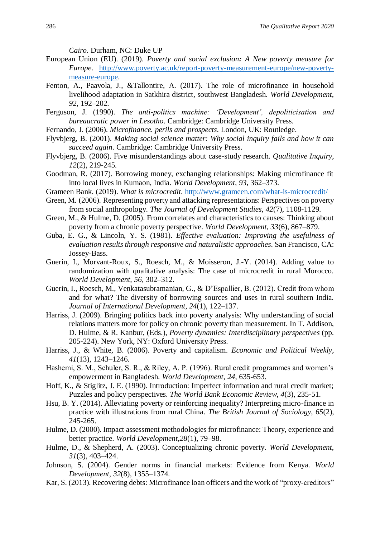*Cairo*. Durham, NC: Duke UP

- European Union (EU). (2019). *Poverty and social exclusion: A New poverty measure for Europe*. [http://www.poverty.ac.uk/report-poverty-measurement-europe/new-poverty](http://www.poverty.ac.uk/report-poverty-measurement-europe/new-poverty-measure-europe)[measure-europe.](http://www.poverty.ac.uk/report-poverty-measurement-europe/new-poverty-measure-europe)
- Fenton, A., Paavola, J., &Tallontire, A. (2017). The role of microfinance in household livelihood adaptation in Satkhira district, southwest Bangladesh. *World Development*, *92*, 192–202.
- Ferguson, J. (1990). *The anti-politics machine: 'Development', depoliticisation and bureaucratic power in Lesotho*. Cambridge: Cambridge University Press.
- Fernando, J. (2006). *Microfinance. perils and prospects*. London, UK: Routledge.
- Flyvbjerg, B. (2001). *Making social science matter: Why social inquiry fails and how it can succeed again*. Cambridge: Cambridge University Press.
- Flyvbjerg, B. (2006). Five misunderstandings about case-study research. *Qualitative Inquiry*, *12*(2), 219-245.
- Goodman, R. (2017). Borrowing money, exchanging relationships: Making microfinance fit into local lives in Kumaon, India. *World Development, 93*, 362–373.
- Grameen Bank. (2019). *What is microcredit*.<http://www.grameen.com/what-is-microcredit/>
- Green, M. (2006). Representing poverty and attacking representations: Perspectives on poverty from social anthropology. *The Journal of Development Studies, 42*(7), 1108-1129.
- Green, M., & Hulme, D. (2005). From correlates and characteristics to causes: Thinking about poverty from a chronic poverty perspective. *World Development, 33*(6), 867–879.
- Guba, E. G., & Lincoln, Y. S. (1981). *Effective evaluation: Improving the usefulness of evaluation results through responsive and naturalistic approaches*. San Francisco, CA: Jossey-Bass.
- Guerin, I., Morvant-Roux, S., Roesch, M., & Moisseron, J.-Y. (2014). Adding value to randomization with qualitative analysis: The case of microcredit in rural Morocco. *World Development, 56*, 302–312.
- Guerin, I., Roesch, M., Venkatasubramanian, G., & D'Espallier, B. (2012). Credit from whom and for what? The diversity of borrowing sources and uses in rural southern India. *Journal of International Development*, *24*(1), 122–137.
- Harriss, J. (2009). Bringing politics back into poverty analysis: Why understanding of social relations matters more for policy on chronic poverty than measurement. In T. Addison, D. Hulme, & R. Kanbur, (Eds.), *Poverty dynamics: Interdisciplinary perspectives* (pp. 205-224). New York, NY: Oxford University Press.
- Harriss, J., & White, B. (2006). Poverty and capitalism. *Economic and Political Weekly*, *41*(13), 1243–1246.
- Hashemi, S. M., Schuler, S. R., & Riley, A. P. (1996). Rural credit programmes and women's empowerment in Bangladesh. *World Development, 24*, 635-653.
- Hoff, K., & Stiglitz, J. E. (1990). Introduction: Imperfect information and rural credit market; Puzzles and policy perspectives. *The World Bank Economic Review*, *4*(3), 235-51.
- Hsu, B. Y. (2014). Alleviating poverty or reinforcing inequality? Interpreting micro-finance in practice with illustrations from rural China. *The British Journal of Sociology*, *65*(2), 245-265.
- Hulme, D. (2000). Impact assessment methodologies for microfinance: Theory, experience and better practice. *World Development,28*(1), 79–98.
- Hulme, D., & Shepherd, A. (2003). Conceptualizing chronic poverty. *World Development*, *31*(3), 403–424.
- Johnson, S. (2004). Gender norms in financial markets: Evidence from Kenya. *World Development*, *32*(8), 1355–1374.
- Kar, S. (2013). Recovering debts: Microfinance loan officers and the work of "proxy-creditors"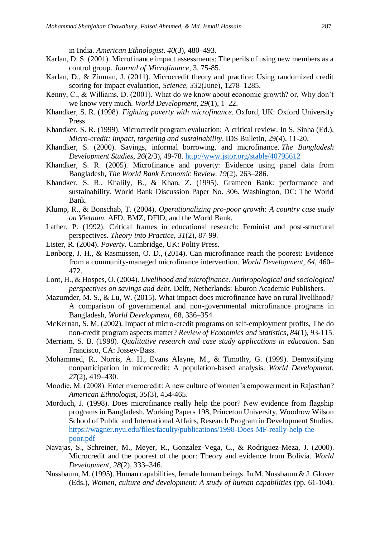in India. *American Ethnologist*. *40*(3), 480–493.

- Karlan, D. S. (2001). Microfinance impact assessments: The perils of using new members as a control group. *Journal of Microfinance,* 3, 75-85.
- Karlan, D., & Zinman, J. (2011). Microcredit theory and practice: Using randomized credit scoring for impact evaluation, *Science*, *332*(June), 1278–1285.
- Kenny, C., & Williams, D. (2001). What do we know about economic growth? or, Why don't we know very much. *World Development*, *29*(1), 1–22.
- Khandker, S. R. (1998). *Fighting poverty with microfinance*. Oxford, UK: Oxford University Press
- Khandker, S. R. (1999). Microcredit program evaluation: A critical review. In S. Sinha (Ed.), *Micro-credit: impact, targeting and sustainability*. IDS Bulletin, 29(4), 11-20.
- Khandker, S. (2000). Savings, informal borrowing, and microfinance. *The Bangladesh Development Studies, 26*(2/3), 49-78.<http://www.jstor.org/stable/40795612>
- Khandker, S. R. (2005). Microfinance and poverty: Evidence using panel data from Bangladesh, *The World Bank Economic Review*. *19*(2), 263–286.
- Khandker, S. R., Khalily, B., & Khan, Z. (1995). Grameen Bank: performance and sustainability. World Bank Discussion Paper No. 306. Washington, DC: The World Bank.
- Klump, R., & Bonschab, T. (2004). *Operationalizing pro-poor growth: A country case study on Vietnam*. AFD, BMZ, DFID, and the World Bank.
- Lather, P. (1992). Critical frames in educational research: Feminist and post-structural perspectives. *Theory into Practice*, *31*(2), 87-99.
- Lister, R. (2004). *Poverty*. Cambridge, UK: Polity Press.
- Lønborg, J. H., & Rasmussen, O. D., (2014). Can microfinance reach the poorest: Evidence from a community-managed microfinance intervention. *World Development, 64*, 460– 472.
- Lont, H., & Hospes, O. (2004). *Livelihood and microfinance. Anthropological and sociological perspectives on savings and debt*. Delft, Netherlands: Eburon Academic Publishers.
- Mazumder, M. S., & Lu, W. (2015). What impact does microfinance have on rural livelihood? A comparison of governmental and non-governmental microfinance programs in Bangladesh, *World Development*, 68, 336–354.
- McKernan, S. M. (2002). Impact of micro-credit programs on self-employment profits, The do non-credit program aspects matter? *Review of Economics and Statistics*, *84*(1), 93-115.
- Merriam, S. B. (1998). *Qualitative research and case study applications in education*. San Francisco, CA: Jossey-Bass.
- Mohammed, R., Norris, A. H., Evans Alayne, M., & Timothy, G. (1999). Demystifying nonparticipation in microcredit: A population-based analysis. *World Development*, *27*(2), 419–430.
- Moodie, M. (2008). Enter microcredit: A new culture of women's empowerment in Rajasthan? *American Ethnologist, 35*(3), 454-465.
- Morduch, J. (1998). Does microfinance really help the poor? New evidence from flagship programs in Bangladesh. Working Papers 198, Princeton University, Woodrow Wilson School of Public and International Affairs, Research Program in Development Studies. [https://wagner.nyu.edu/files/faculty/publications/1998-Does-MF-really-help-the](https://wagner.nyu.edu/files/faculty/publications/1998-Does-MF-really-help-the-poor.pdf)[poor.pdf](https://wagner.nyu.edu/files/faculty/publications/1998-Does-MF-really-help-the-poor.pdf)
- Navajas, S., Schreiner, M., Meyer, R., Gonzalez-Vega, C., & Rodriguez-Meza, J. (2000). Microcredit and the poorest of the poor: Theory and evidence from Bolivia. *World Development*, *28*(2), 333–346.
- Nussbaum, M. (1995). Human capabilities, female human beings. In M. Nussbaum & J. Glover (Eds.), *Women, culture and development: A study of human capabilities* (pp. 61-104).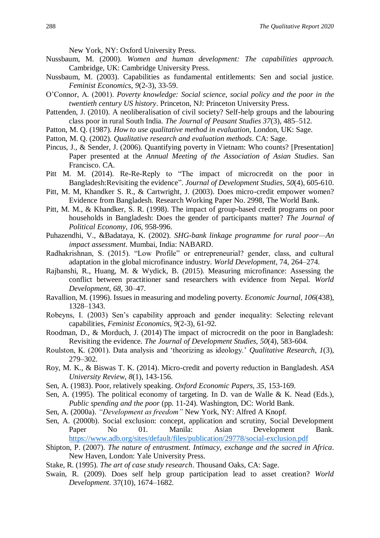New York, NY: Oxford University Press.

- Nussbaum, M. (2000). *Women and human development: The capabilities approach.* Cambridge, UK: Cambridge University Press.
- Nussbaum, M. (2003). Capabilities as fundamental entitlements: Sen and social justice. *Feminist Economics*, *9*(2-3), 33-59.
- O'Connor, A. (2001). *Poverty knowledge: Social science, social policy and the poor in the twentieth century US history*. Princeton, NJ: Princeton University Press.
- Pattenden, J. (2010). A neoliberalisation of civil society? Self-help groups and the labouring class poor in rural South India. *The Journal of Peasant Studies 37*(3), 485–512.
- Patton, M. Q. (1987). *How to use qualitative method in evaluation*, London, UK: Sage.
- Patton, M. Q. (2002). *Qualitative research and evaluation methods*. CA: Sage.
- Pincus, J., & Sender, J. (2006). Quantifying poverty in Vietnam: Who counts? [Presentation] Paper presented at the *Annual Meeting of the Association of Asian Studies*. San Francisco. CA.
- Pitt M. M. (2014). Re-Re-Reply to "The impact of microcredit on the poor in Bangladesh:Revisiting the evidence". *Journal of Development Studies, 50*(4), 605-610.
- Pitt, M. M, Khandker S. R., & Cartwright, J. (2003). Does micro-credit empower women? Evidence from Bangladesh. Research Working Paper No. 2998, The World Bank.
- Pitt, M. M., & Khandker, S. R. (1998). The impact of group-based credit programs on poor households in Bangladesh: Does the gender of participants matter? *The Journal of Political Economy, 106*, 958-996.
- Puhazendhi, V., &Badataya, K. (2002). *SHG-bank linkage programme for rural poor—An impact assessment*. Mumbai, India: NABARD.
- Radhakrishnan, S. (2015). "Low Profile" or entrepreneurial? gender, class, and cultural adaptation in the global microfinance industry. *World Development*, 74, 264–274.
- Rajbanshi, R., Huang, M. & Wydick, B. (2015). Measuring microfinance: Assessing the conflict between practitioner sand researchers with evidence from Nepal. *World Development, 68*, 30–47.
- Ravallion, M. (1996). Issues in measuring and modeling poverty. *Economic Journal, 106*(438), 1328–1343.
- Robeyns, I. (2003) Sen's capability approach and gender inequality: Selecting relevant capabilities, *Feminist Economics, 9*(2-3), 61-92.
- Roodman, D., & Morduch, J. (2014) The impact of microcredit on the poor in Bangladesh: Revisiting the evidence. *The Journal of Development Studies, 50*(4), 583-604.
- Roulston, K. (2001). Data analysis and 'theorizing as ideology.' *Qualitative Research*, *1*(3), 279–302.
- Roy, M. K., & Biswas T. K. (2014). Micro-credit and poverty reduction in Bangladesh. *ASA University Review*, *8*(1), 143-156.
- Sen, A. (1983). Poor, relatively speaking. *Oxford Economic Papers, 35*, 153-169.
- Sen, A. (1995). The political economy of targeting. In D. van de Walle & K. Nead (Eds.), *Public spending and the poor* (pp. 11-24). Washington, DC: World Bank.
- Sen, A. (2000a). *"Development as freedom"* New York, NY: Alfred A Knopf.
- Sen, A. (2000b). Social exclusion: concept, application and scrutiny, Social Development Paper No 01. Manila: Asian Development Bank. <https://www.adb.org/sites/default/files/publication/29778/social-exclusion.pdf>
- Shipton, P. (2007). *The nature of entrustment. Intimacy, exchange and the sacred in Africa*. New Haven, London: Yale University Press.
- Stake, R. (1995). *The art of case study research*. Thousand Oaks, CA: Sage.
- Swain, R. (2009). Does self help group participation lead to asset creation? *World Development*. 37(10), 1674–1682.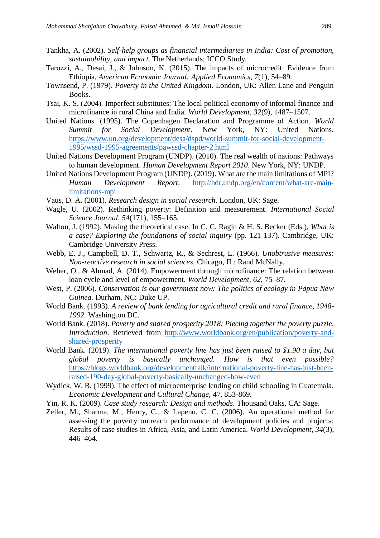- Tankha, A. (2002). *Self-help groups as financial intermediaries in India: Cost of promotion, sustainability, and impact*. The Netherlands: ICCO Study.
- Tarozzi, A., Desai, J., & Johnson, K. (2015). The impacts of microcredit: Evidence from Ethiopia, *American Economic Journal: Applied Economics*, *7*(1), 54–89.
- Townsend, P. (1979). *Poverty in the United Kingdom*. London, UK: Allen Lane and Penguin Books.
- Tsai, K. S. (2004). Imperfect substitutes: The local political economy of informal finance and microfinance in rural China and India. *World Development, 32*(9), 1487–1507.
- United Nations. (1995). The Copenhagen Declaration and Programme of Action. *World Summit for Social Development*. New York, NY: United Nations. [https://www.un.org/development/desa/dspd/world-summit-for-social-development-](https://www.un.org/development/desa/dspd/world-summit-for-social-development-1995/wssd-1995-agreements/pawssd-chapter-2.html)[1995/wssd-1995-agreements/pawssd-chapter-2.html](https://www.un.org/development/desa/dspd/world-summit-for-social-development-1995/wssd-1995-agreements/pawssd-chapter-2.html)
- United Nations Development Program (UNDP). (2010). The real wealth of nations: Pathways to human development. *Human Development Report 2010*. New York, NY: UNDP.
- United Nations Development Program (UNDP). (2019). What are the main limitations of MPI? *Human Development Report*. [http://hdr.undp.org/en/content/what-are-main](http://hdr.undp.org/en/content/what-are-main-limitations-mpi)[limitations-mpi](http://hdr.undp.org/en/content/what-are-main-limitations-mpi)
- Vaus, D. A. (2001). *Research design in social research*. London, UK: Sage.
- Wagle, U. (2002). Rethinking poverty: Definition and measurement. *International Social Science Journal, 54*(171), 155–165.
- Walton, J. (1992). Making the theoretical case. In C. C. Ragin & H. S. Becker (Eds.), *What is a case? Exploring the foundations of social inquiry* (pp. 121-137). Cambridge, UK: Cambridge University Press.
- Webb, E. J., Campbell, D. T., Schwartz, R., & Sechrest, L. (1966). *Unobtrusive measures: Non-reactive research in social sciences,* Chicago, IL: Rand McNally.
- Weber, O., & Ahmad, A. (2014). Empowerment through microfinance: The relation between loan cycle and level of empowerment. *World Development, 62*, 75–87.
- West, P. (2006). *Conservation is our government now: The politics of ecology in Papua New Guinea.* Durham, NC: Duke UP.
- World Bank. (1993). *A review of bank lending for agricultural credit and rural finance, 1948- 1992.* Washington DC.
- World Bank. (2018). *Poverty and shared prosperity 2018: Piecing together the poverty puzzle, Introduction*. Retrieved from [http://www.worldbank.org/en/publication/poverty-and](http://www.worldbank.org/en/publication/poverty-and-shared-prosperity)[shared-prosperity](http://www.worldbank.org/en/publication/poverty-and-shared-prosperity)
- World Bank. (2019). *The international poverty line has just been raised to \$1.90 a day, but global poverty is basically unchanged. How is that even possible?* [https://blogs.worldbank.org/developmenttalk/international-poverty-line-has-just-been](https://blogs.worldbank.org/developmenttalk/international-poverty-line-has-just-been-raised-190-day-global-poverty-basically-unchanged-how-even)[raised-190-day-global-poverty-basically-unchanged-how-even](https://blogs.worldbank.org/developmenttalk/international-poverty-line-has-just-been-raised-190-day-global-poverty-basically-unchanged-how-even)
- Wydick, W. B. (1999). The effect of microenterprise lending on child schooling in Guatemala. *Economic Development and Cultural Change,* 47, 853-869.
- Yin, R. K. (2009). *Case study research: Design and methods*. Thousand Oaks, CA: Sage.
- Zeller, M., Sharma, M., Henry, C., & Lapenu, C. C. (2006). An operational method for assessing the poverty outreach performance of development policies and projects: Results of case studies in Africa, Asia, and Latin America. *World Development, 34*(3), 446–464.